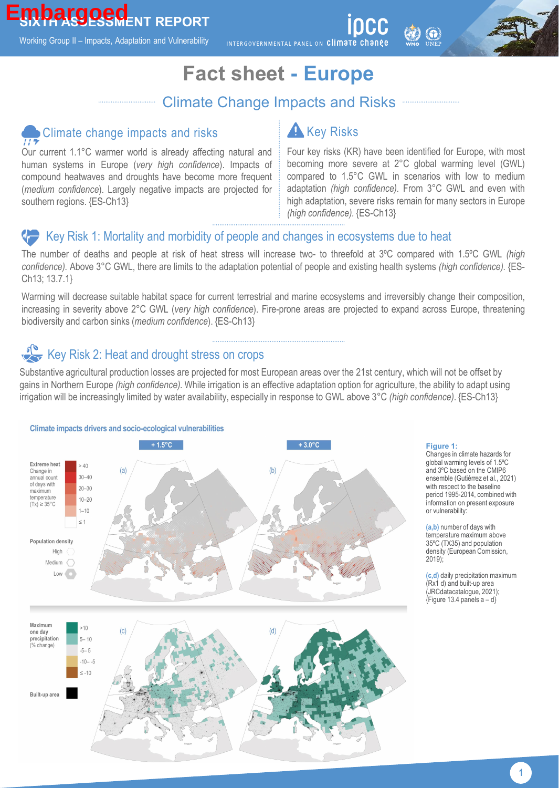Working Group II – Impacts, Adaptation and Vulnerability

INTERGOVERNMENTAL PANEL ON Climate change

## **Fact sheet - Europe**

### Climate Change Impacts and Risks

# Climate change impacts and risks

Our current 1.1°C warmer world is already affecting natural and human systems in Europe (*very high confidence*). Impacts of compound heatwaves and droughts have become more frequent (*medium confidence*). Largely negative impacts are projected for southern regions. {ES-Ch13}

### **A** Key Risks

Four key risks (KR) have been identified for Europe, with most becoming more severe at 2°C global warming level (GWL) compared to 1.5°C GWL in scenarios with low to medium adaptation *(high confidence).* From 3°C GWL and even with high adaptation, severe risks remain for many sectors in Europe *(high confidence).* {ES-Ch13}

#### Key Risk 1: Mortality and morbidity of people and changes in ecosystems due to heat

The number of deaths and people at risk of heat stress will increase two- to threefold at 3ºC compared with 1.5ºC GWL *(high confidence).* Above 3°C GWL, there are limits to the adaptation potential of people and existing health systems *(high confidence).* {ES-Ch13; 13.7.1}

Warming will decrease suitable habitat space for current terrestrial and marine ecosystems and irreversibly change their composition, increasing in severity above 2°C GWL (*very high confidence*). Fire-prone areas are projected to expand across Europe, threatening biodiversity and carbon sinks (*medium confidence*). {ES-Ch13}

## Key Risk 2: Heat and drought stress on crops

Substantive agricultural production losses are projected for most European areas over the 21st century, which will not be offset by gains in Northern Europe *(high confidence).* While irrigation is an effective adaptation option for agriculture, the ability to adapt using irrigation will be increasingly limited by water availability, especially in response to GWL above 3°C *(high confidence)*. {ES-Ch13}



#### **Figure 1:**

Changes in climate hazards for global warming levels of 1.5ºC and 3ºC based on the CMIP6 ensemble (Gutiérrez et al., 2021) with respect to the baseline period 1995-2014, combined with information on present exposure or vulnerability:

**(a,b)** number of days with temperature maximum above 35ºC (TX35) and population density (European Comission, 2019);

**(c,d)** daily precipitation maximum (Rx1 d) and built-up area (JRCdatacatalogue, 2021);  ${F}$ iqure 13.4 panels a – d}

**1**